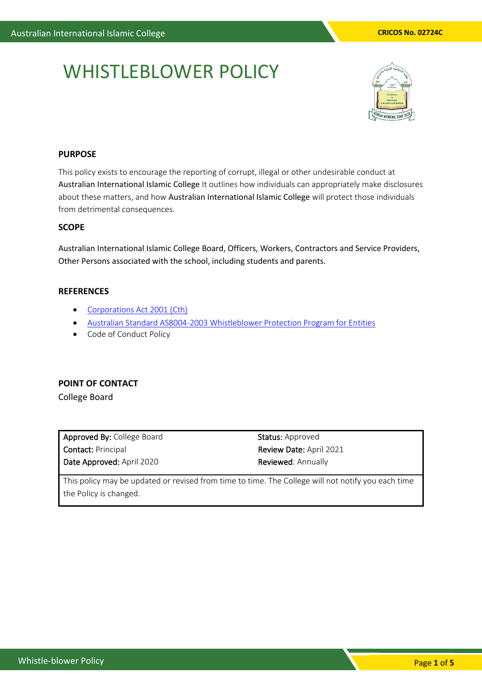# WHISTLEBLOWER POLICY



#### **PURPOSE**

This policy exists to encourage the reporting of corrupt, illegal or other undesirable conduct at Australian International Islamic College It outlines how individuals can appropriately make disclosures about these matters, and how Australian International Islamic College will protect those individuals from detrimental consequences.

## **SCOPE**

Australian International Islamic College Board, Officers, Workers, Contractors and Service Providers, Other Persons associated with the school, including students and parents.

## **REFERENCES**

- [Corporations Act 2001 \(Cth\)](https://www.legislation.gov.au/Details/C2018C00424)
- [Australian Standard AS8004-2003 Whistleblower Protection Program for Entities](https://www.aph.gov.au/Parliamentary_Business/Committees/House_of_Representatives_Committees?url=/laca/whistleblowing/subs/attachmenta16.pdf)
- Code of Conduct Policy

# **POINT OF CONTACT**

College Board

Approved By: College Board Contact: Principal Date Approved: April 2020

Status: Approved Review Date: April 2021 Reviewed: Annually

This policy may be updated or revised from time to time. The College will not notify you each time the Policy is changed.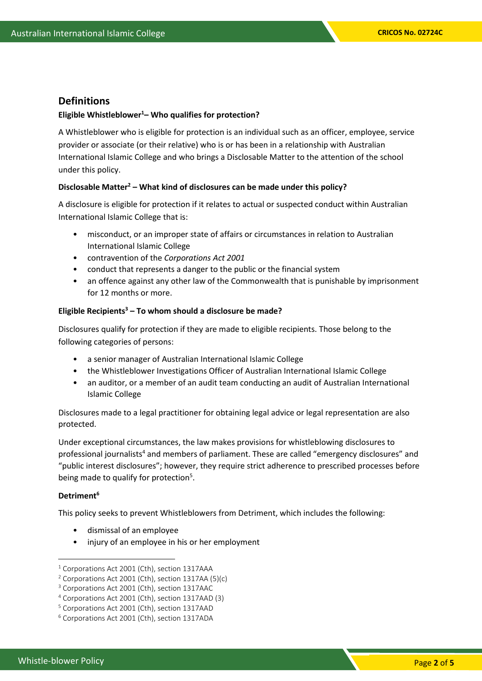# **Definitions**

#### **Eligible Whistleblower<sup>1</sup>– Who qualifies for protection?**

A Whistleblower who is eligible for protection is an individual such as an officer, employee, service provider or associate (or their relative) who is or has been in a relationship with Australian International Islamic College and who brings a Disclosable Matter to the attention of the school under this policy.

#### **Disclosable Matter<sup>2</sup> – What kind of disclosures can be made under this policy?**

A disclosure is eligible for protection if it relates to actual or suspected conduct within Australian International Islamic College that is:

- misconduct, or an improper state of affairs or circumstances in relation to Australian International Islamic College
- contravention of the *Corporations Act 2001*
- conduct that represents a danger to the public or the financial system
- an offence against any other law of the Commonwealth that is punishable by imprisonment for 12 months or more.

#### **Eligible Recipients<sup>3</sup> – To whom should a disclosure be made?**

Disclosures qualify for protection if they are made to eligible recipients. Those belong to the following categories of persons:

- a senior manager of Australian International Islamic College
- the Whistleblower Investigations Officer of Australian International Islamic College
- an auditor, or a member of an audit team conducting an audit of Australian International Islamic College

Disclosures made to a legal practitioner for obtaining legal advice or legal representation are also protected.

Under exceptional circumstances, the law makes provisions for whistleblowing disclosures to professional journalists<sup>4</sup> and members of parliament. These are called "emergency disclosures" and "public interest disclosures"; however, they require strict adherence to prescribed processes before being made to qualify for protection<sup>5</sup>.

#### **Detriment<sup>6</sup>**

This policy seeks to prevent Whistleblowers from Detriment, which includes the following:

- dismissal of an employee
- injury of an employee in his or her employment

<sup>&</sup>lt;sup>1</sup> Corporations Act 2001 (Cth), section 1317AAA

<sup>2</sup> Corporations Act 2001 (Cth), section 1317AA (5)(c)

<sup>&</sup>lt;sup>3</sup> Corporations Act 2001 (Cth), section 1317AAC

<sup>4</sup> Corporations Act 2001 (Cth), section 1317AAD (3)

<sup>&</sup>lt;sup>5</sup> Corporations Act 2001 (Cth), section 1317AAD

<sup>6</sup> Corporations Act 2001 (Cth), section 1317ADA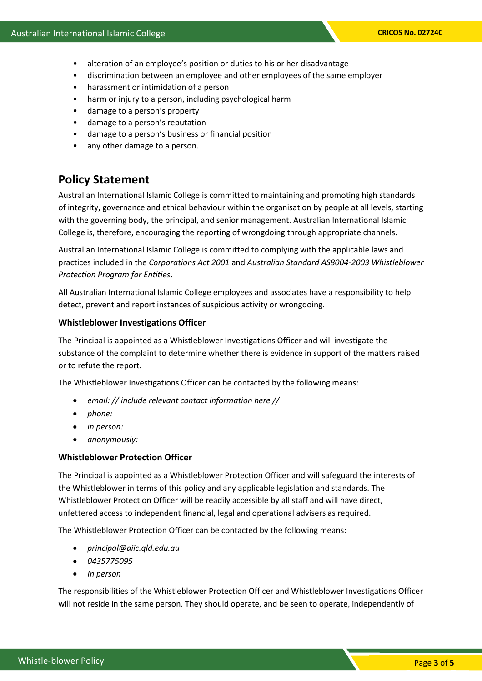- alteration of an employee's position or duties to his or her disadvantage
- discrimination between an employee and other employees of the same employer
- harassment or intimidation of a person
- harm or injury to a person, including psychological harm
- damage to a person's property
- damage to a person's reputation
- damage to a person's business or financial position
- any other damage to a person.

# **Policy Statement**

Australian International Islamic College is committed to maintaining and promoting high standards of integrity, governance and ethical behaviour within the organisation by people at all levels, starting with the governing body, the principal, and senior management. Australian International Islamic College is, therefore, encouraging the reporting of wrongdoing through appropriate channels.

Australian International Islamic College is committed to complying with the applicable laws and practices included in the *Corporations Act 2001* and *Australian Standard AS8004-2003 Whistleblower Protection Program for Entities*.

All Australian International Islamic College employees and associates have a responsibility to help detect, prevent and report instances of suspicious activity or wrongdoing.

#### **Whistleblower Investigations Officer**

The Principal is appointed as a Whistleblower Investigations Officer and will investigate the substance of the complaint to determine whether there is evidence in support of the matters raised or to refute the report.

The Whistleblower Investigations Officer can be contacted by the following means:

- *email: // include relevant contact information here //*
- *phone:*
- *in person:*
- *anonymously:*

#### **Whistleblower Protection Officer**

The Principal is appointed as a Whistleblower Protection Officer and will safeguard the interests of the Whistleblower in terms of this policy and any applicable legislation and standards. The Whistleblower Protection Officer will be readily accessible by all staff and will have direct, unfettered access to independent financial, legal and operational advisers as required.

The Whistleblower Protection Officer can be contacted by the following means:

- *principal@aiic.qld.edu.au*
- *0435775095*
- *In person*

The responsibilities of the Whistleblower Protection Officer and Whistleblower Investigations Officer will not reside in the same person. They should operate, and be seen to operate, independently of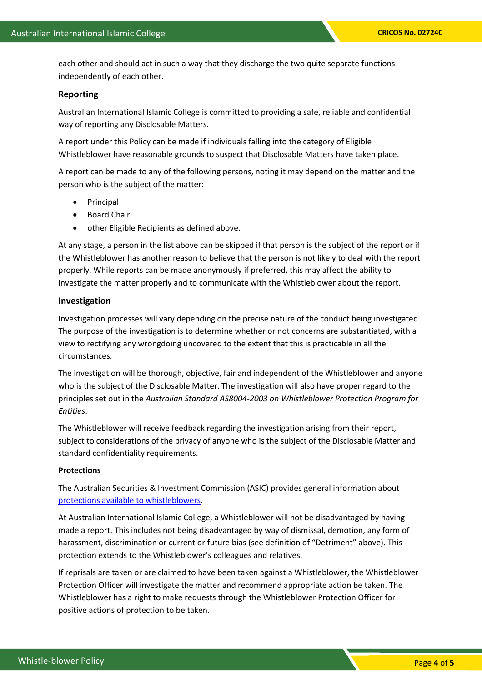each other and should act in such a way that they discharge the two quite separate functions independently of each other.

#### **Reporting**

Australian International Islamic College is committed to providing a safe, reliable and confidential way of reporting any Disclosable Matters.

A report under this Policy can be made if individuals falling into the category of Eligible Whistleblower have reasonable grounds to suspect that Disclosable Matters have taken place.

A report can be made to any of the following persons, noting it may depend on the matter and the person who is the subject of the matter:

- **Principal**
- Board Chair
- other Eligible Recipients as defined above.

At any stage, a person in the list above can be skipped if that person is the subject of the report or if the Whistleblower has another reason to believe that the person is not likely to deal with the report properly. While reports can be made anonymously if preferred, this may affect the ability to investigate the matter properly and to communicate with the Whistleblower about the report.

#### **Investigation**

Investigation processes will vary depending on the precise nature of the conduct being investigated. The purpose of the investigation is to determine whether or not concerns are substantiated, with a view to rectifying any wrongdoing uncovered to the extent that this is practicable in all the circumstances.

The investigation will be thorough, objective, fair and independent of the Whistleblower and anyone who is the subject of the Disclosable Matter. The investigation will also have proper regard to the principles set out in the *Australian Standard AS8004-2003 on Whistleblower Protection Program for Entities*.

The Whistleblower will receive feedback regarding the investigation arising from their report, subject to considerations of the privacy of anyone who is the subject of the Disclosable Matter and standard confidentiality requirements.

#### **Protections**

The Australian Securities & Investment Commission (ASIC) provides general information about [protections available to whistleblowers.](https://asic.gov.au/about-asic/asic-investigations-and-enforcement/whistleblowing/guidance-for-whistleblowers/)

At Australian International Islamic College, a Whistleblower will not be disadvantaged by having made a report. This includes not being disadvantaged by way of dismissal, demotion, any form of harassment, discrimination or current or future bias (see definition of "Detriment" above). This protection extends to the Whistleblower's colleagues and relatives.

If reprisals are taken or are claimed to have been taken against a Whistleblower, the Whistleblower Protection Officer will investigate the matter and recommend appropriate action be taken. The Whistleblower has a right to make requests through the Whistleblower Protection Officer for positive actions of protection to be taken.